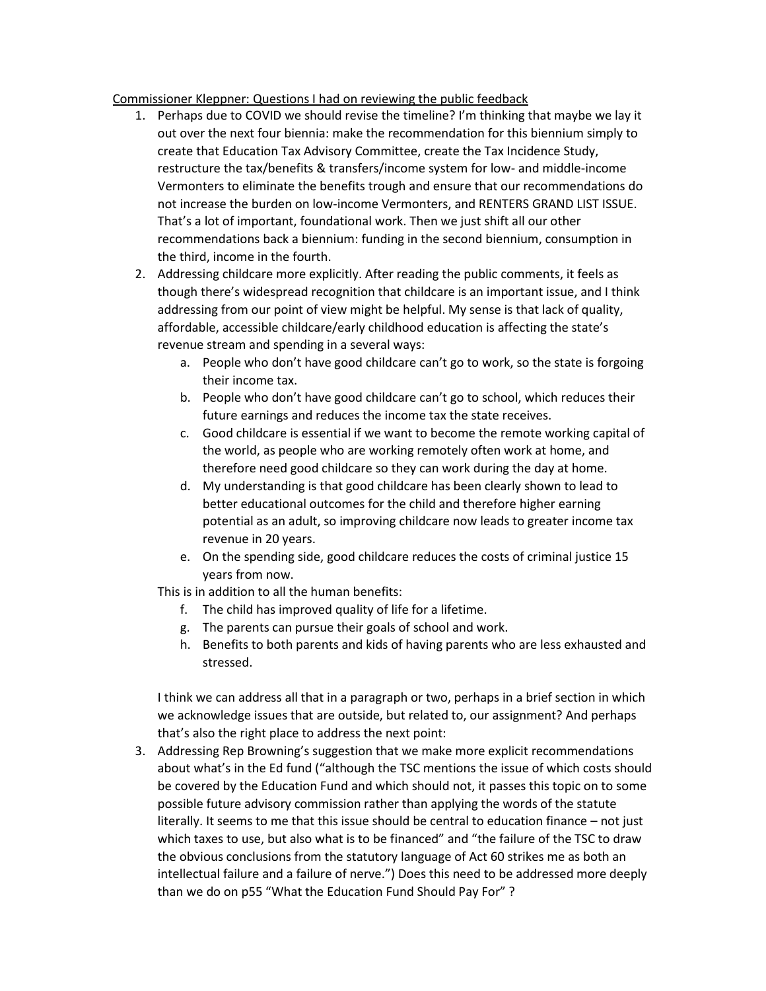## Commissioner Kleppner: Questions I had on reviewing the public feedback

- 1. Perhaps due to COVID we should revise the timeline? I'm thinking that maybe we lay it out over the next four biennia: make the recommendation for this biennium simply to create that Education Tax Advisory Committee, create the Tax Incidence Study, restructure the tax/benefits & transfers/income system for low- and middle-income Vermonters to eliminate the benefits trough and ensure that our recommendations do not increase the burden on low-income Vermonters, and RENTERS GRAND LIST ISSUE. That's a lot of important, foundational work. Then we just shift all our other recommendations back a biennium: funding in the second biennium, consumption in the third, income in the fourth.
- 2. Addressing childcare more explicitly. After reading the public comments, it feels as though there's widespread recognition that childcare is an important issue, and I think addressing from our point of view might be helpful. My sense is that lack of quality, affordable, accessible childcare/early childhood education is affecting the state's revenue stream and spending in a several ways:
	- a. People who don't have good childcare can't go to work, so the state is forgoing their income tax.
	- b. People who don't have good childcare can't go to school, which reduces their future earnings and reduces the income tax the state receives.
	- c. Good childcare is essential if we want to become the remote working capital of the world, as people who are working remotely often work at home, and therefore need good childcare so they can work during the day at home.
	- d. My understanding is that good childcare has been clearly shown to lead to better educational outcomes for the child and therefore higher earning potential as an adult, so improving childcare now leads to greater income tax revenue in 20 years.
	- e. On the spending side, good childcare reduces the costs of criminal justice 15 years from now.

This is in addition to all the human benefits:

- f. The child has improved quality of life for a lifetime.
- g. The parents can pursue their goals of school and work.
- h. Benefits to both parents and kids of having parents who are less exhausted and stressed.

I think we can address all that in a paragraph or two, perhaps in a brief section in which we acknowledge issues that are outside, but related to, our assignment? And perhaps that's also the right place to address the next point:

3. Addressing Rep Browning's suggestion that we make more explicit recommendations about what's in the Ed fund ("although the TSC mentions the issue of which costs should be covered by the Education Fund and which should not, it passes this topic on to some possible future advisory commission rather than applying the words of the statute literally. It seems to me that this issue should be central to education finance – not just which taxes to use, but also what is to be financed" and "the failure of the TSC to draw the obvious conclusions from the statutory language of Act 60 strikes me as both an intellectual failure and a failure of nerve.") Does this need to be addressed more deeply than we do on p55 "What the Education Fund Should Pay For" ?